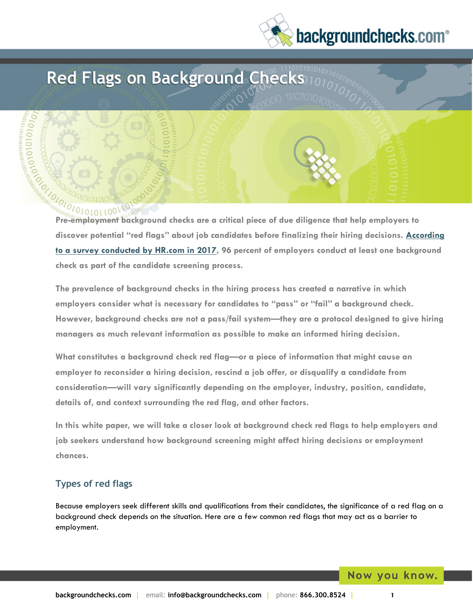# backgroundchecks.com<sup>®</sup>



**discover potential "red flags" about job candidates before finalizing their hiring decisions. [According](https://www.ghrr.com/survey-finds-employment-background-checks-nearly-universal-today/#:~:text=%E2%80%9C96%25%20of%20employers%20conduct%20at,type%20of%20employment%20background%20screening.)  [to a survey conducted by HR.com in 2017,](https://www.ghrr.com/survey-finds-employment-background-checks-nearly-universal-today/#:~:text=%E2%80%9C96%25%20of%20employers%20conduct%20at,type%20of%20employment%20background%20screening.) 96 percent of employers conduct at least one background check as part of the candidate screening process.** 

**The prevalence of background checks in the hiring process has created a narrative in which employers consider what is necessary for candidates to "pass" or "fail" a background check. However, background checks are not a pass/fail system—they are a protocol designed to give hiring managers as much relevant information as possible to make an informed hiring decision.** 

**What constitutes a background check red flag—or a piece of information that might cause an employer to reconsider a hiring decision, rescind a job offer, or disqualify a candidate from consideration—will vary significantly depending on the employer, industry, position, candidate, details of, and context surrounding the red flag, and other factors.** 

**In this white paper, we will take a closer look at background check red flags to help employers and job seekers understand how background screening might affect hiring decisions or employment chances.** 

# **Types of red flags**

Because employers seek different skills and qualifications from their candidates, the significance of a red flag on a background check depends on the situation. Here are a few common red flags that may act as a barrier to employment.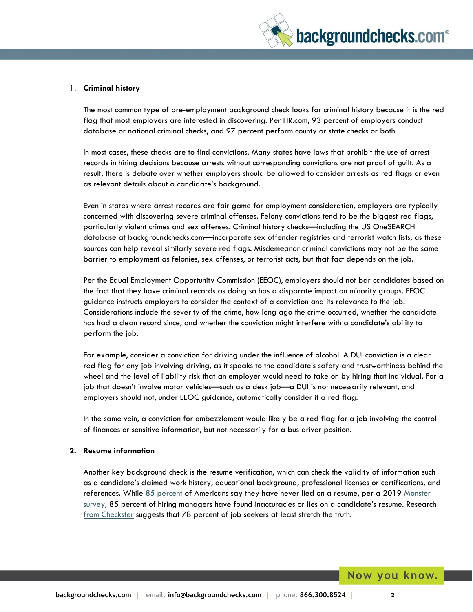

#### 1. **Criminal history**

The most common type of pre-employment background check looks for criminal history because it is the red flag that most employers are interested in discovering. Per HR.com, 93 percent of employers conduct database or national criminal checks, and 97 percent perform county or state checks or both.

In most cases, these checks are to find convictions. Many states have laws that prohibit the use of arrest records in hiring decisions because arrests without corresponding convictions are not proof of guilt. As a result, there is debate over whether employers should be allowed to consider arrests as red flags or even as relevant details about a candidate's background.

Even in states where arrest records are fair game for employment consideration, employers are typically concerned with discovering severe criminal offenses. Felony convictions tend to be the biggest red flags, particularly violent crimes and sex offenses. Criminal history checks—including the US OneSEARCH database at backgroundchecks.com—incorporate sex offender registries and terrorist watch lists, as these sources can help reveal similarly severe red flags. Misdemeanor criminal convictions may not be the same barrier to employment as felonies, sex offenses, or terrorist acts, but that fact depends on the job.

Per the Equal Employment Opportunity Commission (EEOC), employers should not bar candidates based on the fact that they have criminal records as doing so has a disparate impact on minority groups. EEOC guidance instructs employers to consider the context of a conviction and its relevance to the job. Considerations include the severity of the crime, how long ago the crime occurred, whether the candidate has had a clean record since, and whether the conviction might interfere with a candidate's ability to perform the job.

For example, consider a conviction for driving under the influence of alcohol. A DUI conviction is a clear red flag for any job involving driving, as it speaks to the candidate's safety and trustworthiness behind the wheel and the level of liability risk that an employer would need to take on by hiring that individual. For a job that doesn't involve motor vehicles—such as a desk job—a DUI is not necessarily relevant, and employers should not, under EEOC guidance, automatically consider it a red flag.

In the same vein, a conviction for embezzlement would likely be a red flag for a job involving the control of finances or sensitive information, but not necessarily for a bus driver position.

#### **2. Resume information**

Another key background check is the resume verification, which can check the validity of information such as a candidate's claimed work history, educational background, professional licenses or certifications, and references. While [85 percent](https://www.gobankingrates.com/money/jobs/why-americans-lie-on-resumes/) of Americans say they have never lied on a resume, per a 2019 Monster [survey,](https://www.monster.com/career-advice/article/the-truth-about-resume-lies-hot-jobs) 85 percent of hiring managers have found inaccuracies or lies on a candidate's resume. Research [from Checkster](https://www.prnewswire.com/news-releases/new-checkster-research-shows-78-of-job-applicants-lie-and-66-of-hiring-managers-dont-care-301004406.html) suggests that 78 percent of job seekers at least stretch the truth.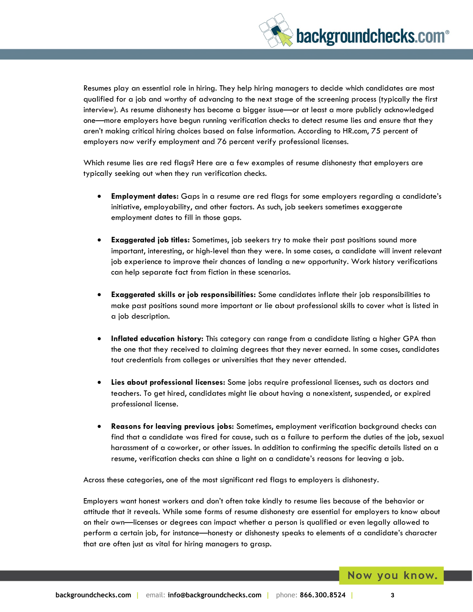

Resumes play an essential role in hiring. They help hiring managers to decide which candidates are most qualified for a job and worthy of advancing to the next stage of the screening process (typically the first interview). As resume dishonesty has become a bigger issue—or at least a more publicly acknowledged one—more employers have begun running verification checks to detect resume lies and ensure that they aren't making critical hiring choices based on false information. According to HR.com, 75 percent of employers now verify employment and 76 percent verify professional licenses.

Which resume lies are red flags? Here are a few examples of resume dishonesty that employers are typically seeking out when they run verification checks.

- **Employment dates:** Gaps in a resume are red flags for some employers regarding a candidate's initiative, employability, and other factors. As such, job seekers sometimes exaggerate employment dates to fill in those gaps.
- **Exaggerated job titles:** Sometimes, job seekers try to make their past positions sound more important, interesting, or high-level than they were. In some cases, a candidate will invent relevant job experience to improve their chances of landing a new opportunity. Work history verifications can help separate fact from fiction in these scenarios.
- **Exaggerated skills or job responsibilities:** Some candidates inflate their job responsibilities to make past positions sound more important or lie about professional skills to cover what is listed in a job description.
- **Inflated education history:** This category can range from a candidate listing a higher GPA than the one that they received to claiming degrees that they never earned. In some cases, candidates tout credentials from colleges or universities that they never attended.
- **Lies about professional licenses:** Some jobs require professional licenses, such as doctors and teachers. To get hired, candidates might lie about having a nonexistent, suspended, or expired professional license.
- **Reasons for leaving previous jobs:** Sometimes, employment verification background checks can find that a candidate was fired for cause, such as a failure to perform the duties of the job, sexual harassment of a coworker, or other issues. In addition to confirming the specific details listed on a resume, verification checks can shine a light on a candidate's reasons for leaving a job.

Across these categories, one of the most significant red flags to employers is dishonesty.

Employers want honest workers and don't often take kindly to resume lies because of the behavior or attitude that it reveals. While some forms of resume dishonesty are essential for employers to know about on their own—licenses or degrees can impact whether a person is qualified or even legally allowed to perform a certain job, for instance—honesty or dishonesty speaks to elements of a candidate's character that are often just as vital for hiring managers to grasp.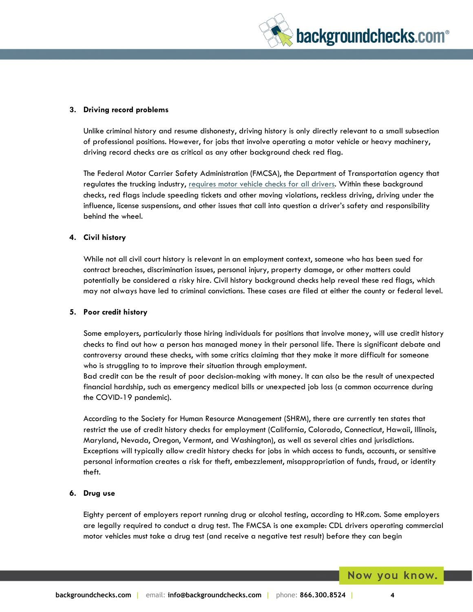

#### **3. Driving record problems**

Unlike criminal history and resume dishonesty, driving history is only directly relevant to a small subsection of professional positions. However, for jobs that involve operating a motor vehicle or heavy machinery, driving record checks are as critical as any other background check red flag.

The Federal Motor Carrier Safety Administration (FMCSA), the Department of Transportation agency that regulates the trucking industry, [requires motor vehicle checks for all drivers.](https://www.hireright.com/blog/transportation/primer-pre-employment-background-checks-required-fmcsa) Within these background checks, red flags include speeding tickets and other moving violations, reckless driving, driving under the influence, license suspensions, and other issues that call into question a driver's safety and responsibility behind the wheel.

#### **4. Civil history**

While not all civil court history is relevant in an employment context, someone who has been sued for contract breaches, discrimination issues, personal injury, property damage, or other matters could potentially be considered a risky hire. Civil history background checks help reveal these red flags, which may not always have led to criminal convictions. These cases are filed at either the county or federal level.

#### **5. Poor credit history**

Some employers, particularly those hiring individuals for positions that involve money, will use credit history checks to find out how a person has managed money in their personal life. There is significant debate and controversy around these checks, with some critics claiming that they make it more difficult for someone who is struggling to to improve their situation through employment.

Bad credit can be the result of poor decision-making with money. It can also be the result of unexpected financial hardship, such as emergency medical bills or unexpected job loss (a common occurrence during the COVID-19 pandemic).

According to the Society for Human Resource Management (SHRM), there are currently ten states that restrict the use of credit history checks for employment (California, Colorado, Connecticut, Hawaii, Illinois, Maryland, Nevada, Oregon, Vermont, and Washington), as well as several cities and jurisdictions. Exceptions will typically allow credit history checks for jobs in which access to funds, accounts, or sensitive personal information creates a risk for theft, embezzlement, misappropriation of funds, fraud, or identity theft.

#### **6. Drug use**

Eighty percent of employers report running drug or alcohol testing, according to HR.com. Some employers are legally required to conduct a drug test. The FMCSA is one example: CDL drivers operating commercial motor vehicles must take a drug test (and receive a negative test result) before they can begin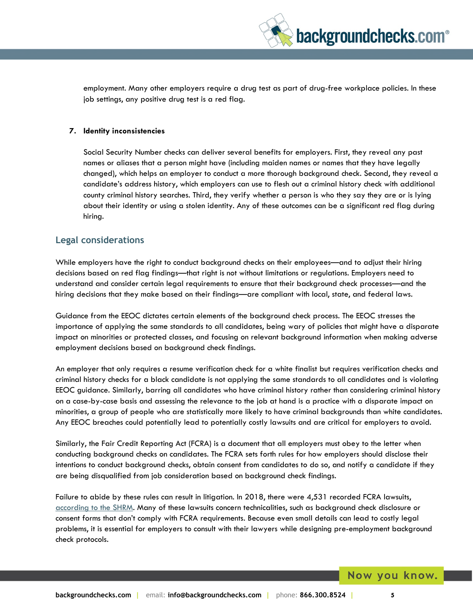

employment. Many other employers require a drug test as part of drug-free workplace policies. In these job settings, any positive drug test is a red flag.

#### **7. Identity inconsistencies**

Social Security Number checks can deliver several benefits for employers. First, they reveal any past names or aliases that a person might have (including maiden names or names that they have legally changed), which helps an employer to conduct a more thorough background check. Second, they reveal a candidate's address history, which employers can use to flesh out a criminal history check with additional county criminal history searches. Third, they verify whether a person is who they say they are or is lying about their identity or using a stolen identity. Any of these outcomes can be a significant red flag during hiring.

### **Legal considerations**

While employers have the right to conduct background checks on their employees—and to adjust their hiring decisions based on red flag findings—that right is not without limitations or regulations. Employers need to understand and consider certain legal requirements to ensure that their background check processes—and the hiring decisions that they make based on their findings—are compliant with local, state, and federal laws.

Guidance from the EEOC dictates certain elements of the background check process. The EEOC stresses the importance of applying the same standards to all candidates, being wary of policies that might have a disparate impact on minorities or protected classes, and focusing on relevant background information when making adverse employment decisions based on background check findings.

An employer that only requires a resume verification check for a white finalist but requires verification checks and criminal history checks for a black candidate is not applying the same standards to all candidates and is violating EEOC guidance. Similarly, barring all candidates who have criminal history rather than considering criminal history on a case-by-case basis and assessing the relevance to the job at hand is a practice with a disparate impact on minorities, a group of people who are statistically more likely to have criminal backgrounds than white candidates. Any EEOC breaches could potentially lead to potentially costly lawsuits and are critical for employers to avoid.

Similarly, the Fair Credit Reporting Act (FCRA) is a document that all employers must obey to the letter when conducting background checks on candidates. The FCRA sets forth rules for how employers should disclose their intentions to conduct background checks, obtain consent from candidates to do so, and notify a candidate if they are being disqualified from job consideration based on background check findings.

Failure to abide by these rules can result in litigation. In 2018, there were 4,531 recorded FCRA lawsuits, [according to the SHRM.](https://www.shrm.org/resourcesandtools/hr-topics/talent-acquisition/pages/fcra-litigation-track-reach-new-high.aspx#:~:text=FCRA%20litigation%20increased%20by%208.7,for%20the%20whole%20of%202018.) Many of these lawsuits concern technicalities, such as background check disclosure or consent forms that don't comply with FCRA requirements. Because even small details can lead to costly legal problems, it is essential for employers to consult with their lawyers while designing pre-employment background check protocols.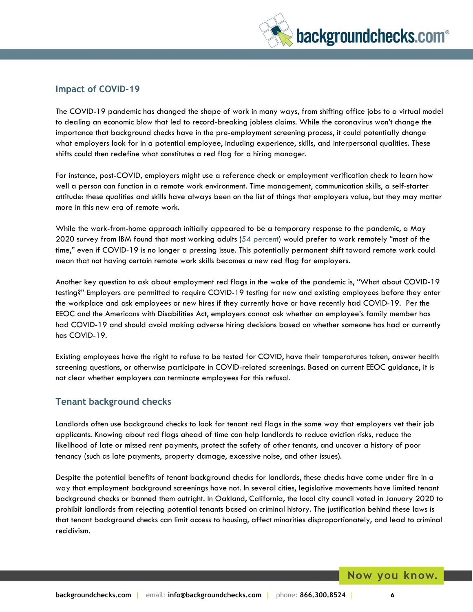

## **Impact of COVID-19**

The COVID-19 pandemic has changed the shape of work in many ways, from shifting office jobs to a virtual model to dealing an economic blow that led to record-breaking jobless claims. While the coronavirus won't change the importance that background checks have in the pre-employment screening process, it could potentially change what employers look for in a potential employee, including experience, skills, and interpersonal qualities. These shifts could then redefine what constitutes a red flag for a hiring manager.

For instance, post-COVID, employers might use a reference check or employment verification check to learn how well a person can function in a remote work environment. Time management, communication skills, a self-starter attitude: these qualities and skills have always been on the list of things that employers value, but they may matter more in this new era of remote work.

While the work-from-home approach initially appeared to be a temporary response to the pandemic, a May 2020 survey from IBM found that most working adults [\(54 percent\)](https://www.businessinsider.com/54-percent-adults-want-mainly-work-remote-after-pandemic-study-2020-5) would prefer to work remotely "most of the time," even if COVID-19 is no longer a pressing issue. This potentially permanent shift toward remote work could mean that not having certain remote work skills becomes a new red flag for employers.

Another key question to ask about employment red flags in the wake of the pandemic is, "What about COVID-19 testing?" Employers are permitted to require COVID-19 testing for new and existing employees before they enter the workplace and ask employees or new hires if they currently have or have recently had COVID-19. Per the EEOC and the Americans with Disabilities Act, employers cannot ask whether an employee's family member has had COVID-19 and should avoid making adverse hiring decisions based on whether someone has had or currently has COVID-19.

Existing employees have the right to refuse to be tested for COVID, have their temperatures taken, answer health screening questions, or otherwise participate in COVID-related screenings. Based on current EEOC guidance, it is not clear whether employers can terminate employees for this refusal.

## **Tenant background checks**

Landlords often use background checks to look for tenant red flags in the same way that employers vet their job applicants. Knowing about red flags ahead of time can help landlords to reduce eviction risks**,** reduce the likelihood of late or missed rent payments, protect the safety of other tenants, and uncover a history of poor tenancy (such as late payments, property damage, excessive noise, and other issues).

Despite the potential benefits of tenant background checks for landlords, these checks have come under fire in a way that employment background screenings have not. In several cities, legislative movements have limited tenant background checks or banned them outright. In Oakland, California, the local city council voted in January 2020 to prohibit landlords from rejecting potential tenants based on criminal history. The justification behind these laws is that tenant background checks can limit access to housing, affect minorities disproportionately, and lead to criminal recidivism.